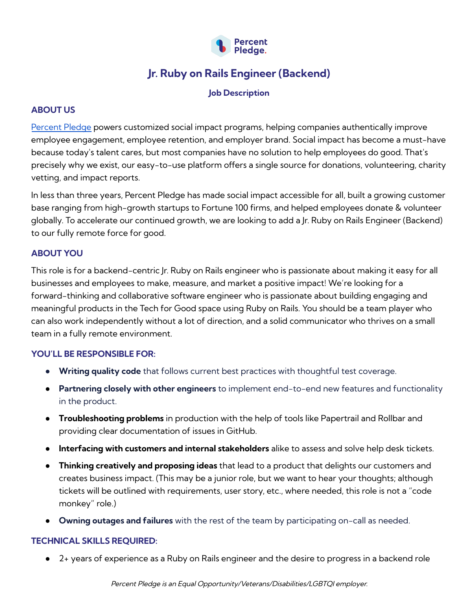

# **Jr. Ruby on Rails Engineer (Backend)**

#### **Job Description**

## **ABOUT US**

[Percent](https://www.percentpledge.org/) Pledge powers customized social impact programs, helping companies authentically improve employee engagement, employee retention, and employer brand. Social impact has become a must-have because today's talent cares, but most companies have no solution to help employees do good. That's precisely why we exist, our easy-to-use platform offers a single source for donations, volunteering, charity vetting, and impact reports.

In less than three years, Percent Pledge has made social impact accessible for all, built a growing customer base ranging from high-growth startups to Fortune 100 firms, and helped employees donate & volunteer globally. To accelerate our continued growth, we are looking to add a Jr. Ruby on Rails Engineer (Backend) to our fully remote force for good.

## **ABOUT YOU**

This role is for a backend-centric Jr. Ruby on Rails engineer who is passionate about making it easy for all businesses and employees to make, measure, and market a positive impact! We're looking for a forward-thinking and collaborative software engineer who is passionate about building engaging and meaningful products in the Tech for Good space using Ruby on Rails. You should be a team player who can also work independently without a lot of direction, and a solid communicator who thrives on a small team in a fully remote environment.

## **YOU'LL BE RESPONSIBLE FOR:**

- **Writing quality code** that follows current best practices with thoughtful test coverage.
- **Partnering closely with other engineers** to implement end-to-end new features and functionality in the product.
- **Troubleshooting problems** in production with the help of tools like Papertrail and Rollbar and providing clear documentation of issues in GitHub.
- **Interfacing with customers and internal stakeholders** alike to assess and solve help desk tickets.
- **Thinking creatively and proposing ideas** that lead to a product that delights our customers and creates business impact. (This may be a junior role, but we want to hear your thoughts; although tickets will be outlined with requirements, user story, etc., where needed, this role is not a "code monkey" role.)
- **Owning outages and failures** with the rest of the team by participating on-call as needed.

## **TECHNICAL SKILLS REQUIRED:**

● 2+ years of experience as a Ruby on Rails engineer and the desire to progress in a backend role